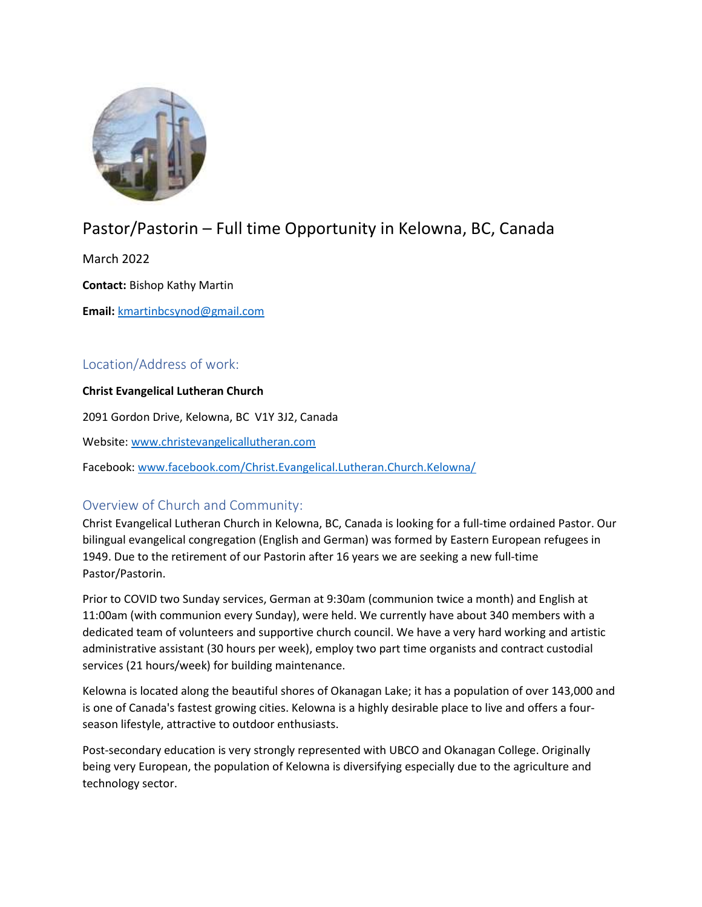

# Pastor/Pastorin – Full time Opportunity in Kelowna, BC, Canada

March 2022

Contact: Bishop Kathy Martin

Email: kmartinbcsynod@gmail.com

# Location/Address of work:

#### Christ Evangelical Lutheran Church

2091 Gordon Drive, Kelowna, BC V1Y 3J2, Canada

Website: www.christevangelicallutheran.com

Facebook: www.facebook.com/Christ.Evangelical.Lutheran.Church.Kelowna/

## Overview of Church and Community:

Christ Evangelical Lutheran Church in Kelowna, BC, Canada is looking for a full-time ordained Pastor. Our bilingual evangelical congregation (English and German) was formed by Eastern European refugees in 1949. Due to the retirement of our Pastorin after 16 years we are seeking a new full-time Pastor/Pastorin.

Prior to COVID two Sunday services, German at 9:30am (communion twice a month) and English at 11:00am (with communion every Sunday), were held. We currently have about 340 members with a dedicated team of volunteers and supportive church council. We have a very hard working and artistic administrative assistant (30 hours per week), employ two part time organists and contract custodial services (21 hours/week) for building maintenance.

Kelowna is located along the beautiful shores of Okanagan Lake; it has a population of over 143,000 and is one of Canada's fastest growing cities. Kelowna is a highly desirable place to live and offers a fourseason lifestyle, attractive to outdoor enthusiasts.

Post-secondary education is very strongly represented with UBCO and Okanagan College. Originally being very European, the population of Kelowna is diversifying especially due to the agriculture and technology sector.